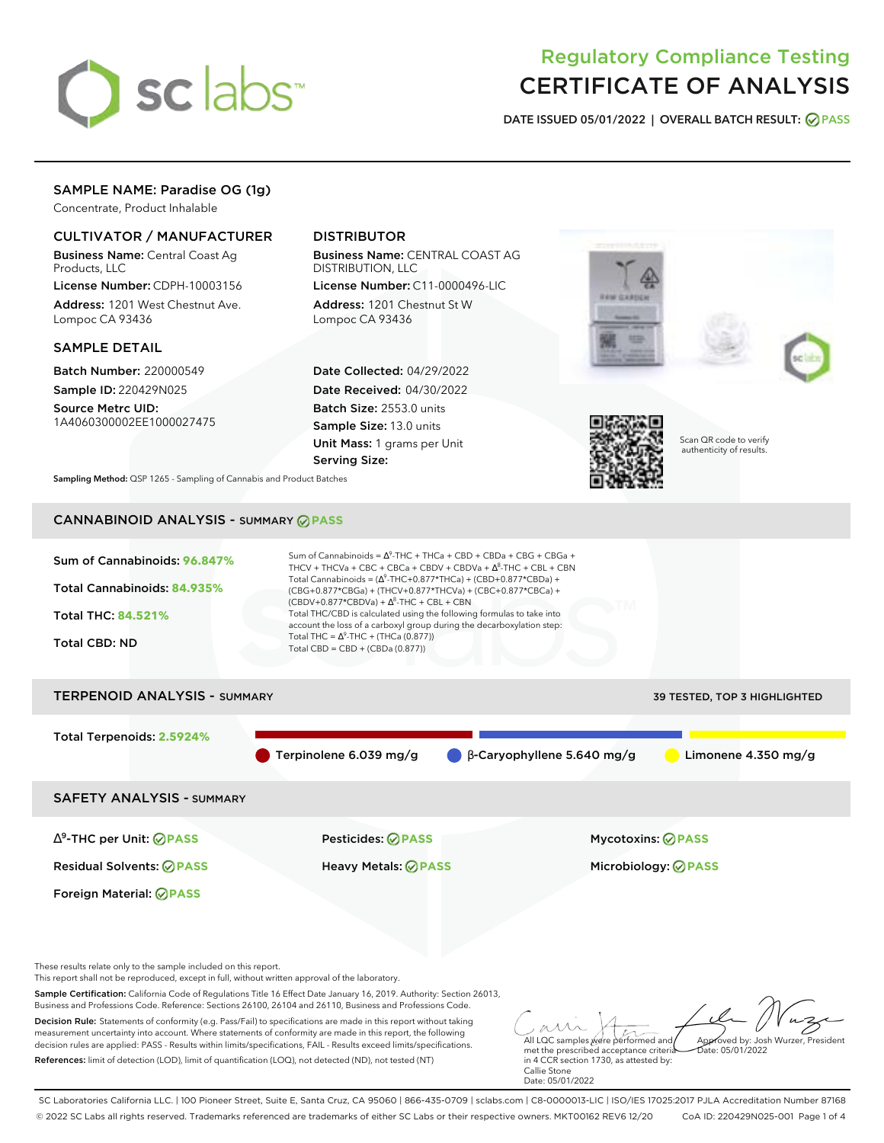

# Regulatory Compliance Testing CERTIFICATE OF ANALYSIS

**DATE ISSUED 05/01/2022 | OVERALL BATCH RESULT: PASS**

# SAMPLE NAME: Paradise OG (1g)

Concentrate, Product Inhalable

# CULTIVATOR / MANUFACTURER

Business Name: Central Coast Ag Products, LLC

License Number: CDPH-10003156 Address: 1201 West Chestnut Ave. Lompoc CA 93436

### SAMPLE DETAIL

Batch Number: 220000549 Sample ID: 220429N025

Source Metrc UID: 1A4060300002EE1000027475

# DISTRIBUTOR

Business Name: CENTRAL COAST AG DISTRIBUTION, LLC

License Number: C11-0000496-LIC Address: 1201 Chestnut St W Lompoc CA 93436

Date Collected: 04/29/2022 Date Received: 04/30/2022 Batch Size: 2553.0 units Sample Size: 13.0 units Unit Mass: 1 grams per Unit Serving Size:





Scan QR code to verify authenticity of results.

**Sampling Method:** QSP 1265 - Sampling of Cannabis and Product Batches

# CANNABINOID ANALYSIS - SUMMARY **PASS**



Terpinolene 6.039 mg/g β-Caryophyllene 5.640 mg/g Limonene 4.350 mg/g

SAFETY ANALYSIS - SUMMARY

∆ 9 -THC per Unit: **PASS** Pesticides: **PASS** Mycotoxins: **PASS**

Foreign Material: **PASS**

Residual Solvents: **PASS** Heavy Metals: **PASS** Microbiology: **PASS**

These results relate only to the sample included on this report.

This report shall not be reproduced, except in full, without written approval of the laboratory.

Sample Certification: California Code of Regulations Title 16 Effect Date January 16, 2019. Authority: Section 26013, Business and Professions Code. Reference: Sections 26100, 26104 and 26110, Business and Professions Code.

Decision Rule: Statements of conformity (e.g. Pass/Fail) to specifications are made in this report without taking measurement uncertainty into account. Where statements of conformity are made in this report, the following decision rules are applied: PASS - Results within limits/specifications, FAIL - Results exceed limits/specifications. References: limit of detection (LOD), limit of quantification (LOQ), not detected (ND), not tested (NT)

All LQC samples were performed and met the prescribed acceptance criteria Approved by: Josh Wurzer, President  $hat: 05/01/2022$ 

in 4 CCR section 1730, as attested by: Callie Stone Date: 05/01/2022

SC Laboratories California LLC. | 100 Pioneer Street, Suite E, Santa Cruz, CA 95060 | 866-435-0709 | sclabs.com | C8-0000013-LIC | ISO/IES 17025:2017 PJLA Accreditation Number 87168 © 2022 SC Labs all rights reserved. Trademarks referenced are trademarks of either SC Labs or their respective owners. MKT00162 REV6 12/20 CoA ID: 220429N025-001 Page 1 of 4